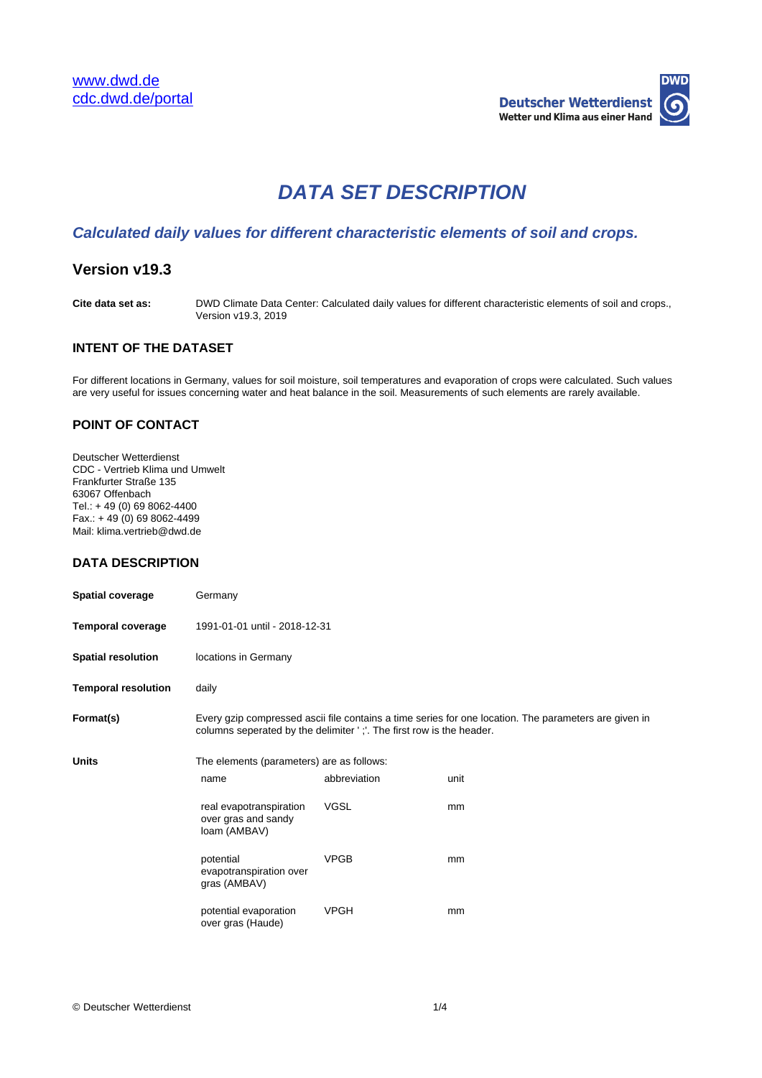

# **DATA SET DESCRIPTION**

# **Calculated daily values for different characteristic elements of soil and crops.**

# **Version v19.3**

**Cite data set as:** DWD Climate Data Center: Calculated daily values for different characteristic elements of soil and crops., Version v19.3, 2019

## **INTENT OF THE DATASET**

For different locations in Germany, values for soil moisture, soil temperatures and evaporation of crops were calculated. Such values are very useful for issues concerning water and heat balance in the soil. Measurements of such elements are rarely available.

#### **POINT OF CONTACT**

Deutscher Wetterdienst CDC - Vertrieb Klima und Umwelt Frankfurter Straße 135 63067 Offenbach Tel.: + 49 (0) 69 8062-4400  $Fax.: + 49(0) 69 8062-4499$ Mail: klima.vertrieb@dwd.de

## **DATA DESCRIPTION**

| <b>Spatial coverage</b>    | Germany                                                                                                                                                                       |              |      |  |  |
|----------------------------|-------------------------------------------------------------------------------------------------------------------------------------------------------------------------------|--------------|------|--|--|
| <b>Temporal coverage</b>   | 1991-01-01 until - 2018-12-31                                                                                                                                                 |              |      |  |  |
| <b>Spatial resolution</b>  | locations in Germany                                                                                                                                                          |              |      |  |  |
| <b>Temporal resolution</b> | daily                                                                                                                                                                         |              |      |  |  |
| Format(s)                  | Every gzip compressed ascii file contains a time series for one location. The parameters are given in<br>columns seperated by the delimiter ';'. The first row is the header. |              |      |  |  |
| <b>Units</b>               | The elements (parameters) are as follows:                                                                                                                                     |              |      |  |  |
|                            | name                                                                                                                                                                          | abbreviation | unit |  |  |
|                            | real evapotranspiration<br>over gras and sandy<br>loam (AMBAV)                                                                                                                | <b>VGSL</b>  | mm   |  |  |
|                            | potential<br>evapotranspiration over<br>gras (AMBAV)                                                                                                                          | <b>VPGB</b>  | mm   |  |  |
|                            | potential evaporation<br>over gras (Haude)                                                                                                                                    | <b>VPGH</b>  | mm   |  |  |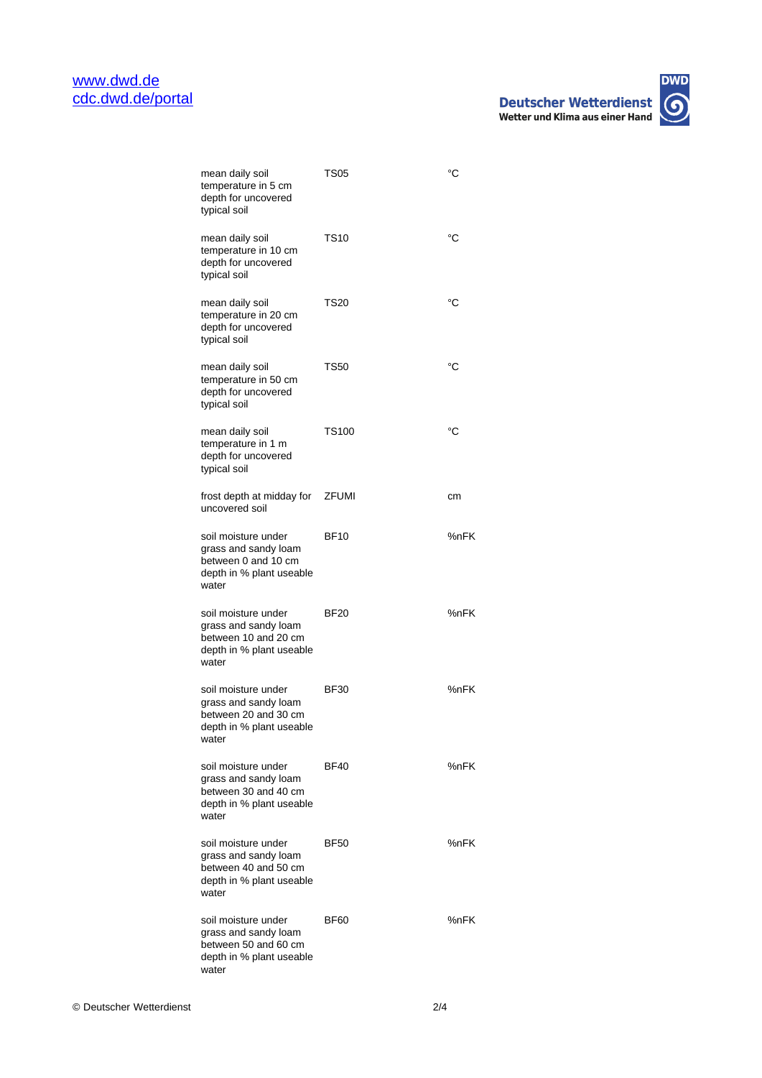| mean daily soil<br>temperature in 5 cm<br>depth for uncovered<br>typical soil                            | TS05        | °C   |
|----------------------------------------------------------------------------------------------------------|-------------|------|
| mean daily soil<br>temperature in 10 cm<br>depth for uncovered<br>typical soil                           | <b>TS10</b> | °C   |
| mean daily soil<br>temperature in 20 cm<br>depth for uncovered<br>typical soil                           | TS20        | °C   |
| mean daily soil<br>temperature in 50 cm<br>depth for uncovered<br>typical soil                           | <b>TS50</b> | °C   |
| mean daily soil<br>temperature in 1 m<br>depth for uncovered<br>typical soil                             | TS100       | °C   |
| frost depth at midday for  ZFUMI<br>uncovered soil                                                       |             | сm   |
| soil moisture under<br>grass and sandy loam<br>between 0 and 10 cm<br>depth in % plant useable<br>water  | <b>BF10</b> | %nFK |
| soil moisture under<br>grass and sandy loam<br>between 10 and 20 cm<br>depth in % plant useable<br>water | <b>BF20</b> | %nFK |
| soil moisture under<br>grass and sandy loam<br>between 20 and 30 cm<br>depth in % plant useable<br>water | <b>BF30</b> | %nFK |
| soil moisture under<br>grass and sandy loam<br>between 30 and 40 cm<br>depth in % plant useable<br>water | <b>BF40</b> | %nFK |
| soil moisture under<br>grass and sandy loam<br>between 40 and 50 cm<br>depth in % plant useable<br>water | <b>BF50</b> | %nFK |
| soil moisture under<br>grass and sandy loam<br>between 50 and 60 cm<br>depth in % plant useable<br>water | BF60        | %nFK |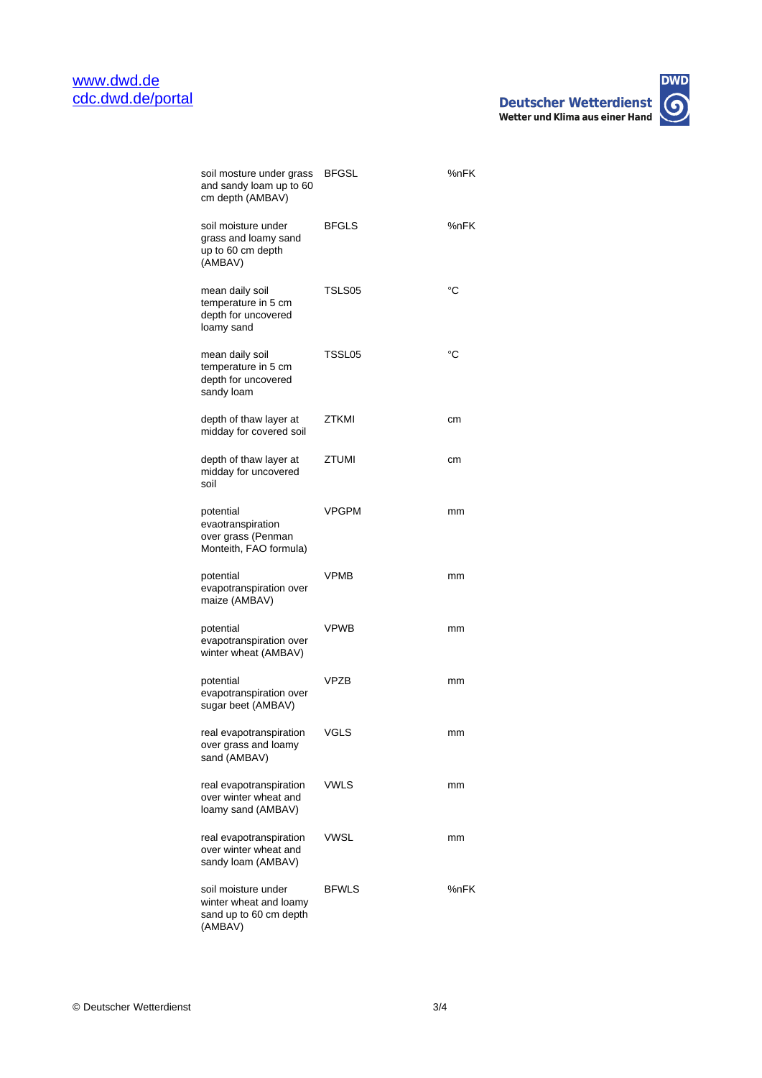

| soil mosture under grass<br>and sandy loam up to 60<br>cm depth (AMBAV)            | <b>BFGSL</b> | %nFK |
|------------------------------------------------------------------------------------|--------------|------|
| soil moisture under<br>grass and loamy sand<br>up to 60 cm depth<br>(AMBAV)        | <b>BFGLS</b> | %nFK |
| mean daily soil<br>temperature in 5 cm<br>depth for uncovered<br>loamy sand        | TSLS05       | °C   |
| mean daily soil<br>temperature in 5 cm<br>depth for uncovered<br>sandy loam        | TSSL05       | °C   |
| depth of thaw layer at<br>midday for covered soil                                  | ZTKMI        | cm   |
| depth of thaw layer at<br>midday for uncovered<br>soil                             | ZTUMI        | cm   |
| potential<br>evaotranspiration<br>over grass (Penman<br>Monteith, FAO formula)     | VPGPM        | mm   |
| potential<br>evapotranspiration over<br>maize (AMBAV)                              | VPMB         | mm   |
| potential<br>evapotranspiration over<br>winter wheat (AMBAV)                       | <b>VPWB</b>  | mm   |
| potential<br>evapotranspiration over<br>sugar beet (AMBAV)                         | VP7B         | mm   |
| real evapotranspiration<br>over grass and loamy<br>sand (AMBAV)                    | VGLS         | mm   |
| real evapotranspiration<br>over winter wheat and<br>loamy sand (AMBAV)             | VWLS         | mm   |
| real evapotranspiration<br>over winter wheat and<br>sandy loam (AMBAV)             | VWSL         | mm   |
| soil moisture under<br>winter wheat and loamy<br>sand up to 60 cm depth<br>(AMBAV) | <b>BFWLS</b> | %nFK |